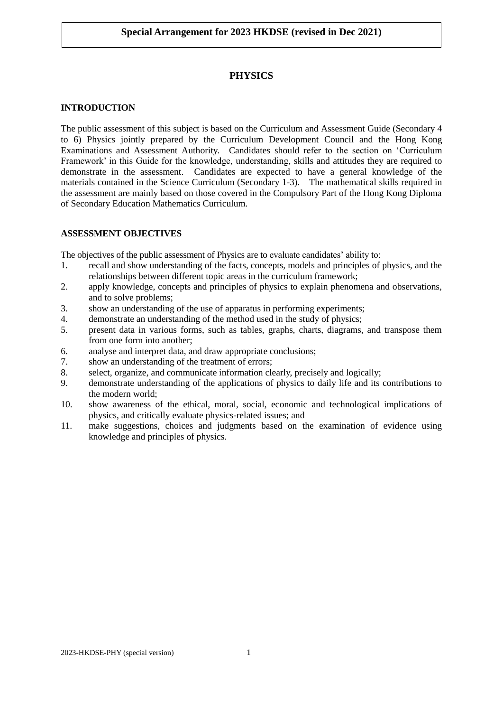# **PHYSICS**

#### **INTRODUCTION**

The public assessment of this subject is based on the Curriculum and Assessment Guide (Secondary 4 to 6) Physics jointly prepared by the Curriculum Development Council and the Hong Kong Examinations and Assessment Authority. Candidates should refer to the section on 'Curriculum Framework' in this Guide for the knowledge, understanding, skills and attitudes they are required to demonstrate in the assessment. Candidates are expected to have a general knowledge of the materials contained in the Science Curriculum (Secondary 1-3). The mathematical skills required in the assessment are mainly based on those covered in the Compulsory Part of the Hong Kong Diploma of Secondary Education Mathematics Curriculum.

#### **ASSESSMENT OBJECTIVES**

The objectives of the public assessment of Physics are to evaluate candidates' ability to:

- 1. recall and show understanding of the facts, concepts, models and principles of physics, and the relationships between different topic areas in the curriculum framework;
- 2. apply knowledge, concepts and principles of physics to explain phenomena and observations, and to solve problems;
- 3. show an understanding of the use of apparatus in performing experiments;
- 4. demonstrate an understanding of the method used in the study of physics;
- 5. present data in various forms, such as tables, graphs, charts, diagrams, and transpose them from one form into another;
- 6. analyse and interpret data, and draw appropriate conclusions;
- 7. show an understanding of the treatment of errors;
- 8. select, organize, and communicate information clearly, precisely and logically;
- 9. demonstrate understanding of the applications of physics to daily life and its contributions to the modern world;
- 10. show awareness of the ethical, moral, social, economic and technological implications of physics, and critically evaluate physics-related issues; and
- 11. make suggestions, choices and judgments based on the examination of evidence using knowledge and principles of physics.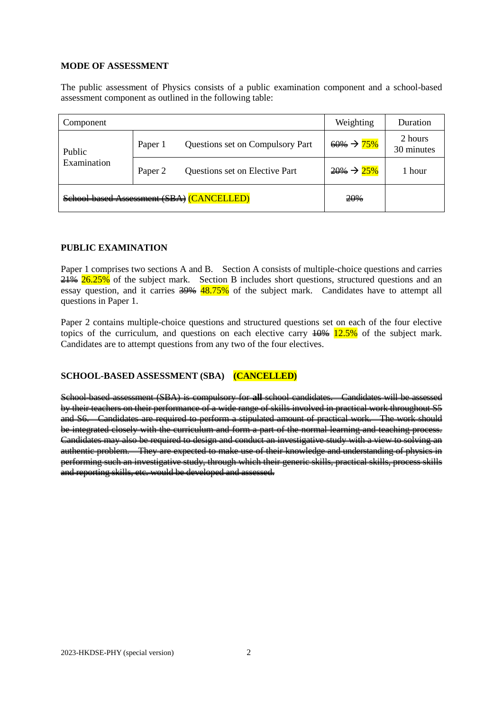### **MODE OF ASSESSMENT**

The public assessment of Physics consists of a public examination component and a school-based assessment component as outlined in the following table:

| Component                                         |         |                                  | Weighting               | Duration              |
|---------------------------------------------------|---------|----------------------------------|-------------------------|-----------------------|
| Public<br>Examination                             | Paper 1 | Questions set on Compulsory Part | $60\% \rightarrow 75\%$ | 2 hours<br>30 minutes |
|                                                   | Paper 2 | Questions set on Elective Part   | $20\% \rightarrow 25\%$ | 1 hour                |
| <b>ANCELLED)</b><br>School-based Assessment (SBA) |         |                                  | 20%                     |                       |

### **PUBLIC EXAMINATION**

Paper 1 comprises two sections A and B. Section A consists of multiple-choice questions and carries  $21\%$  26.25% of the subject mark. Section B includes short questions, structured questions and an essay question, and it carries  $\frac{39\%}{18.75\%}$  of the subject mark. Candidates have to attempt all questions in Paper 1.

Paper 2 contains multiple-choice questions and structured questions set on each of the four elective topics of the curriculum, and questions on each elective carry  $\frac{10}{6}$  12.5% of the subject mark. Candidates are to attempt questions from any two of the four electives.

## **SCHOOL-BASED ASSESSMENT (SBA) (CANCELLED)**

School-based assessment (SBA) is compulsory for **all** school candidates. Candidates will be assessed by their teachers on their performance of a wide range of skills involved in practical work throughout S5 and S6. Candidates are required to perform a stipulated amount of practical work. The work should be integrated closely with the curriculum and form a part of the normal learning and teaching process. Candidates may also be required to design and conduct an investigative study with a view to solving an authentic problem. They are expected to make use of their knowledge and understanding of physics in performing such an investigative study, through which their generic skills, practical skills, process skills and reporting skills, etc. would be developed and assessed.